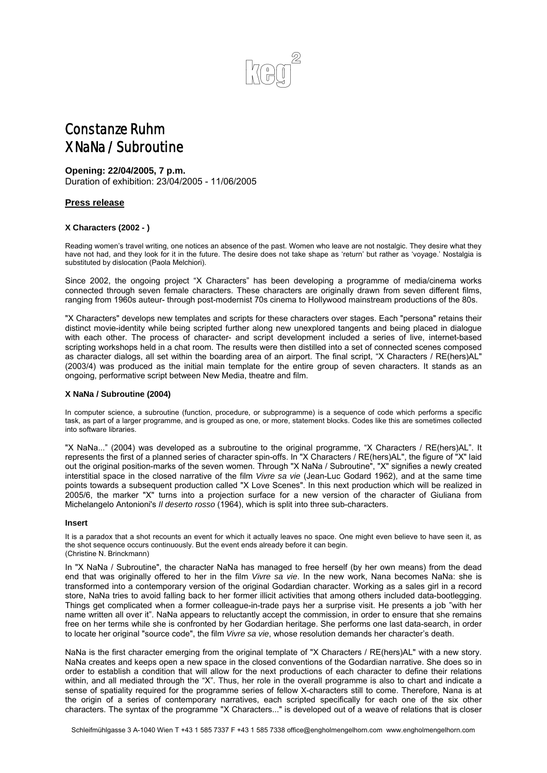

# Constanze Ruhm X NaNa / Subroutine

# **Opening: 22/04/2005, 7 p.m.**

Duration of exhibition: 23/04/2005 - 11/06/2005

## **Press release**

### **X Characters (2002 - )**

Reading women's travel writing, one notices an absence of the past. Women who leave are not nostalgic. They desire what they have not had, and they look for it in the future. The desire does not take shape as 'return' but rather as 'voyage.' Nostalgia is substituted by dislocation (Paola Melchiori).

Since 2002, the ongoing project "X Characters" has been developing a programme of media/cinema works connected through seven female characters. These characters are originally drawn from seven different films, ranging from 1960s auteur- through post-modernist 70s cinema to Hollywood mainstream productions of the 80s.

"X Characters" develops new templates and scripts for these characters over stages. Each "persona" retains their distinct movie-identity while being scripted further along new unexplored tangents and being placed in dialogue with each other. The process of character- and script development included a series of live, internet-based scripting workshops held in a chat room. The results were then distilled into a set of connected scenes composed as character dialogs, all set within the boarding area of an airport. The final script, "X Characters / RE(hers)AL" (2003/4) was produced as the initial main template for the entire group of seven characters. It stands as an ongoing, performative script between New Media, theatre and film.

### **X NaNa / Subroutine (2004)**

In computer science, a subroutine (function, procedure, or subprogramme) is a sequence of code which performs a specific task, as part of a larger programme, and is grouped as one, or more, statement blocks. Codes like this are sometimes collected into software libraries.

"X NaNa..." (2004) was developed as a subroutine to the original programme, "X Characters / RE(hers)AL". It represents the first of a planned series of character spin-offs. In "X Characters / RE(hers)AL", the figure of "X" laid out the original position-marks of the seven women. Through "X NaNa / Subroutine", "X" signifies a newly created interstitial space in the closed narrative of the film *Vivre sa vie* (Jean-Luc Godard 1962), and at the same time points towards a subsequent production called "X Love Scenes". In this next production which will be realized in 2005/6, the marker "X" turns into a projection surface for a new version of the character of Giuliana from Michelangelo Antonioni's *Il deserto rosso* (1964), which is split into three sub-characters.

#### **Insert**

It is a paradox that a shot recounts an event for which it actually leaves no space. One might even believe to have seen it, as the shot sequence occurs continuously. But the event ends already before it can begin. (Christine N. Brinckmann)

In "X NaNa / Subroutine", the character NaNa has managed to free herself (by her own means) from the dead end that was originally offered to her in the film *Vivre sa vie*. In the new work, Nana becomes NaNa: she is transformed into a contemporary version of the original Godardian character. Working as a sales girl in a record store, NaNa tries to avoid falling back to her former illicit activities that among others included data-bootlegging. Things get complicated when a former colleague-in-trade pays her a surprise visit. He presents a job "with her name written all over it". NaNa appears to reluctantly accept the commission, in order to ensure that she remains free on her terms while she is confronted by her Godardian heritage. She performs one last data-search, in order to locate her original "source code", the film *Vivre sa vie*, whose resolution demands her character's death.

NaNa is the first character emerging from the original template of "X Characters / RE(hers)AL" with a new story. NaNa creates and keeps open a new space in the closed conventions of the Godardian narrative. She does so in order to establish a condition that will allow for the next productions of each character to define their relations within, and all mediated through the "X". Thus, her role in the overall programme is also to chart and indicate a sense of spatiality required for the programme series of fellow X-characters still to come. Therefore, Nana is at the origin of a series of contemporary narratives, each scripted specifically for each one of the six other characters. The syntax of the programme "X Characters..." is developed out of a weave of relations that is closer